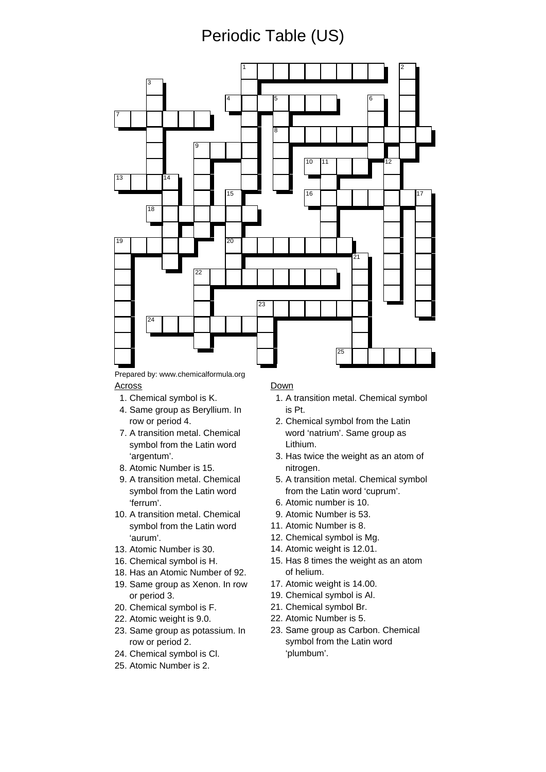# Periodic Table (US)



Across Down

- 
- 4. Same group as Beryllium. In is Pt.
- 7. A transition metal. Chemical symbol from the Latin word
- 8. Atomic Number is 15. https://www.aki.com/
- 9. A transition metal. Chemical symbol from the Latin word 'ferrum'. 6. Atomic number is 10.
- 10. A transition metal. Chemical symbol from the Latin word 'aurum'.
- 13. Atomic Number is 30.
- 16. Chemical symbol is H.
- 18. Has an Atomic Number of 92.
- 19. Same group as Xenon. In row or period 3.
- 20. Chemical symbol is F.
- 22. Atomic weight is 9.0.
- 23. Same group as potassium. In row or period 2.
- 24. Chemical symbol is Cl.
- 25. Atomic Number is 2.

- 1. Chemical symbol is K. 1. A transition metal. Chemical symbol
	- row or period 4. 2. Chemical symbol from the Latin word 'natrium'. Same group as Lithium.
	- 'argentum'. 3. Has twice the weight as an atom of
		- 5. A transition metal. Chemical symbol from the Latin word 'cuprum'.
		-
		- 9. Atomic Number is 53.
		- 11. Atomic Number is 8.
		- 12. Chemical symbol is Mg.
		- 14. Atomic weight is 12.01.
		- 15. Has 8 times the weight as an atom of helium.
		- 17. Atomic weight is 14.00.
		- 19. Chemical symbol is Al.
		- 21. Chemical symbol Br.
		- 22. Atomic Number is 5.
		- 23. Same group as Carbon. Chemical symbol from the Latin word 'plumbum'.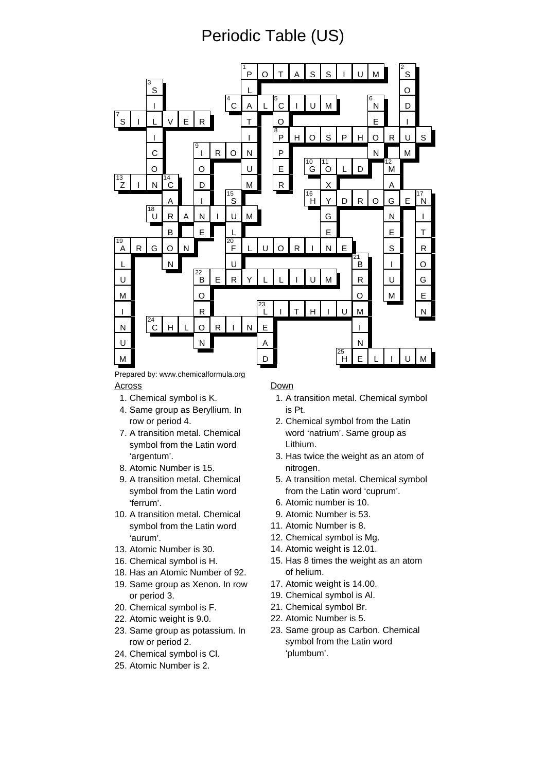# Periodic Table (US)



Prepared by: www.chemicalformula.org Across Down

- 
- 4. Same group as Beryllium. In is Pt.
- 7. A transition metal. Chemical symbol from the Latin word
- 8. Atomic Number is 15. https://www.aki.com/
- 9. A transition metal. Chemical symbol from the Latin word 'ferrum'. 6. Atomic number is 10.
- 10. A transition metal. Chemical symbol from the Latin word 'aurum'.
- 13. Atomic Number is 30.
- 16. Chemical symbol is H.
- 18. Has an Atomic Number of 92.
- 19. Same group as Xenon. In row or period 3.
- 20. Chemical symbol is F.
- 22. Atomic weight is 9.0.
- 23. Same group as potassium. In row or period 2.
- 24. Chemical symbol is Cl.
- 25. Atomic Number is 2.

- 1. Chemical symbol is K. 1. A transition metal. Chemical symbol
	- row or period 4. 2. Chemical symbol from the Latin word 'natrium'. Same group as Lithium.
	- 'argentum'. 3. Has twice the weight as an atom of
		- 5. A transition metal. Chemical symbol from the Latin word 'cuprum'.
		-
		- 9. Atomic Number is 53.
		- 11. Atomic Number is 8.
		- 12. Chemical symbol is Mg.
		- 14. Atomic weight is 12.01.
		- 15. Has 8 times the weight as an atom of helium.
		- 17. Atomic weight is 14.00.
		- 19. Chemical symbol is Al.
		- 21. Chemical symbol Br.
		- 22. Atomic Number is 5.
		- 23. Same group as Carbon. Chemical symbol from the Latin word 'plumbum'.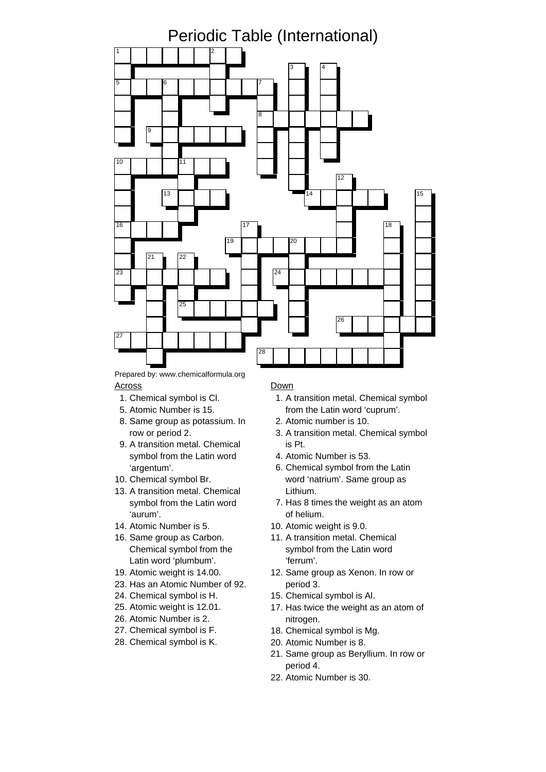

## Across Down

- 
- 
- 8. Same group as potassium. In 2. Atomic number is 10.
- 9. A transition metal. Chemical is Pt. symbol from the Latin word 'argentum'.
- 10. Chemical symbol Br.
- 13. A transition metal. Chemical Lithium. symbol from the Latin word 'aurum'.
- 14. Atomic Number is 5. 10. Atomic weight is 9.0.
- 16. Same group as Carbon. Chemical symbol from the Latin word 'plumbum'.
- 
- 23. Has an Atomic Number of 92. period 3.
- 24. Chemical symbol is H. 15. Chemical symbol is Al.
- 25. Atomic weight is 12.01.
- 26. Atomic Number is 2.
- 27. Chemical symbol is F.
- 28. Chemical symbol is K.

- 1. Chemical symbol is Cl. 1. A transition metal. Chemical symbol 5. Atomic Number is 15. from the Latin word 'cuprum'.
	-
	- row or period 2.  $\qquad \qquad$  3. A transition metal. Chemical symbol
		- 4. Atomic Number is 53.
		- 6. Chemical symbol from the Latin word 'natrium'. Same group as
		- 7. Has 8 times the weight as an atom of helium.
		-
		- 11. A transition metal. Chemical symbol from the Latin word 'ferrum'.
- 19. Atomic weight is 14.00. 12. Same group as Xenon. In row or
	-
	- 17. Has twice the weight as an atom of nitrogen.
	- 18. Chemical symbol is Mg.
	- 20. Atomic Number is 8.
	- 21. Same group as Beryllium. In row or period 4.
	- 22. Atomic Number is 30.